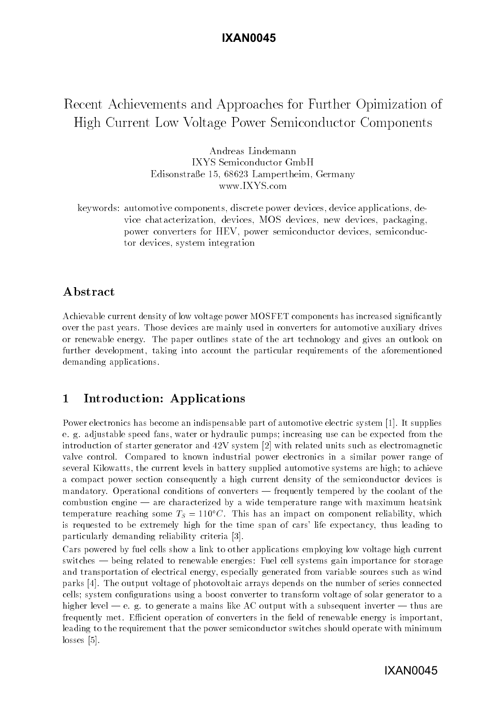# **IXAN0045**

# Recent Achievements and Approaches for Further Opimization of High Current Low Voltage Power Semiconductor Components

Andreas Lindemann IXYS Semiconductor GmbH Edisonstrae - Lampertheim Germany www.IXYS.com

keywords automotive components discrete power devices device applications de vice chatacterization devices MOS devices new devices packaging power converters for HEV, power semiconductor devices, semiconductor devices, system integration

# Abstract

Achievable current density of low voltage power MOSFET components has increased significantly over the past years- wenter methods met mainly used in converter for automotive automotive years for or renewable energy- The paper outlines state of the art technology and gives an outlook on further development, taking into account the particular requirements of the aforementioned demanding applications.

## $\mathbf{1}$ Introduction- Applications

Power electronics has become an indispensable part of automotive electric system - It supplies e- g- adjustable speed fans water or hydraulic pumps increasing use can be expected from the introduction of starter generator and  $42V$  system  $\left[2\right]$  with related units such as electromagnetic valve control- Compared to known industrial power electronics in a similar power range of several Kilowatts, the current levels in battery supplied automotive systems are high; to achieve a compact power section consequently a high current density of the semiconductor devices is mandatory- Operational conditions of converters frequently tempered by the coolant of the combustion engine are characterized by a wide temperature range with maximum heatsinking temperature reaching some  $T_S = 110^\circ \text{C}$  . This has an impact on component reliability, which is requested to be extremely high for the time span of cars' life expectancy, thus leading to particularly demanding reliability criteria [3].

Cars powered by fuel cells show a link to other applications employing low voltage high current switches being related to renewable energies Fuel cell systems gain importance for storage and transportation of electrical energy, especially generated from variable sources such as wind parks - The output voltage of photovoltaic arrays depends on the number of series connected cells; system configurations using a boost converter to transform voltage of solar generator to a higher level e- g- to generate a mains like AC output with a subsequent inverter thus are frequently met- Ecient operation of converters in the eld of renewable energy is important leading to the requirement that the power semiconductor switches should operate with minimum  $losses [5]$ .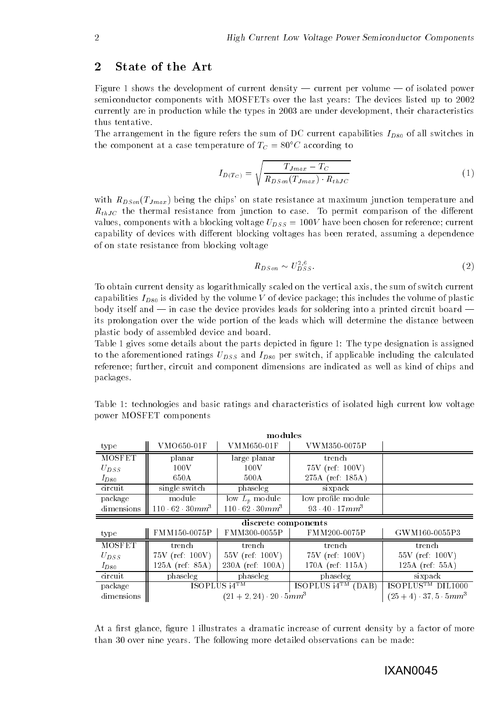## $\overline{2}$ State of the Art

Figure shows the development of current density current per volume of isolated power semiconductor components with MOSFETs over the last years: The devices listed up to 2002 currently are in production while the types in 2003 are under development, their characteristics thus tentative.

The arrangement in the gure refers the sum of DC current capabilities ID- of all switches in the component at a case temperature of  $T_c = 80^{\circ}$ C according to

$$
I_{D(T_C)} = \sqrt{\frac{T_{Jmax} - T_C}{R_{DSon}(T_{Jmax}) \cdot R_{thJC}}}
$$
\n(1)

with  $R_{DSon}(T_{Jmax})$  being the chips' on state resistance at maximum junction temperature and  $R_t$ thj $\sigma$  the thermal resistance from junction to case-from  $\sigma$ values, components with a blocking voltage  $U_{DSS} = 100V$  have been chosen for reference; current capability of devices with different blocking voltages has been rerated, assuming a dependence of on state resistance from blocking voltage

$$
R_{DSon} \sim U_{DSS}^{2,6} \tag{2}
$$

To obtain current density as logarithmically scaled on the vertical axis the sum of switch current is the volume  $\mu$  of device package this includes the volume of plastic package this includes the volume of plastic plastic package this includes the volume of plastic plastic plastic package the volume of plastic plasti body itself and in case the device provides leads for soldering into a printed circuit board its prolongation over the wide portion of the leads which will determine the distance between plastic body of assembled device and board-

Table 1 gives some details about the parts depicted in figure 1: The type designation is assigned to the aforemention including  $\mathcal{L}$  . In applicable including the calculated including the calculated value of  $\mathcal{L}$ reference; further, circuit and component dimensions are indicated as well as kind of chips and packages-

| modules             |                             |                                |                                |                                    |  |  |  |  |
|---------------------|-----------------------------|--------------------------------|--------------------------------|------------------------------------|--|--|--|--|
| type                | VMO650-01F                  | VMM650-01F                     | VWM350-0075P                   |                                    |  |  |  |  |
| <b>MOSFET</b>       | planar                      | large planar                   | trench                         |                                    |  |  |  |  |
| $U_{DSS}$           | 100V                        | 100V                           | $75V$ (ref: 100V)              |                                    |  |  |  |  |
| $I_{D80}$           | 650A                        | 500A                           | 275A (ref: 185A)               |                                    |  |  |  |  |
| circuit             | single switch               | phaseleg                       | sixpack                        |                                    |  |  |  |  |
| package             | module                      | low $L_p$ module               | low profile module             |                                    |  |  |  |  |
| dimensions          | $110 \cdot 62 \cdot 30mm^3$ | $110 \cdot 62 \cdot 30 mm^{3}$ | $93 \cdot 40 \cdot 17 \, mm^3$ |                                    |  |  |  |  |
| discrete components |                             |                                |                                |                                    |  |  |  |  |
| type                | FMM150-0075P                | FMM300-0055P                   | FMM200-0075P                   | GWM160-0055P3                      |  |  |  |  |
| <b>MOSFET</b>       | trench                      | trench                         | trench                         | trench                             |  |  |  |  |
| $U_{DSS}$           | $75V$ (ref: $100V$ )        | $55V$ (ref: 100V)              | $75V$ (ref: 100V)              | $55V$ (ref: 100V)                  |  |  |  |  |
| $I_{D80}$           | 125A (ref: 85A)             | 230A (ref: 100A)               | 170A (ref: 115A)               | $125A$ (ref: 55A)                  |  |  |  |  |
| circuit             | phaseleg                    | phaseleg                       | phaseleg                       | sixpack                            |  |  |  |  |
| package             | ISOPLUS $i4^{TM}$           |                                | ISOPLUS $i4^{TM}$ (DAB)        | <b>DIL1000</b><br><b>ISOPLUSTM</b> |  |  |  |  |
| dimensions          |                             | $(21+2, 24)$ 20 $5mm3$         |                                | $(25+4)$ 37.5 5 $mm3$              |  |  |  |  |

Table 1: technologies and basic ratings and characteristics of isolated high current low voltage power MOSFET components

At a first glance, figure 1 illustrates a dramatic increase of current density by a factor of more than the following property which come and the following more detailed observations can be more than  $\mathbb{R}^n$ 

 $\mathcal{A}$  dimensions are the set of  $\mathcal{A}$  and  $\mathcal{A}$  are the set of  $\mathcal{A}$  and  $\mathcal{A}$ 

## IXAN0045

 $\cdot$  - $\blacksquare$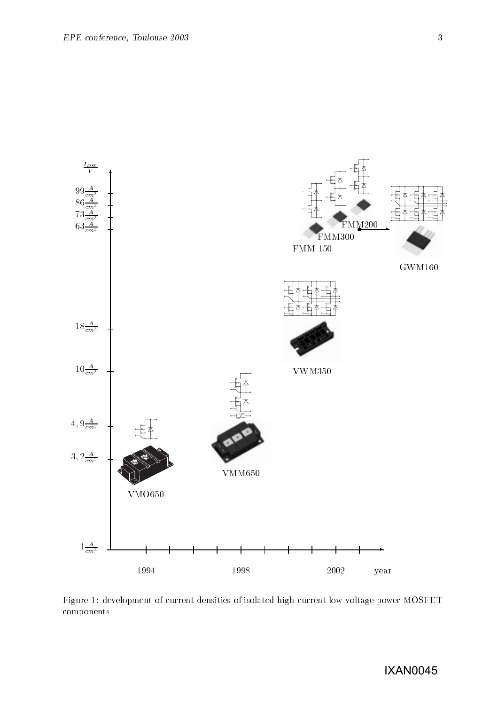

Figure 1: development of current densities of isolated high current low voltage power MOSFET components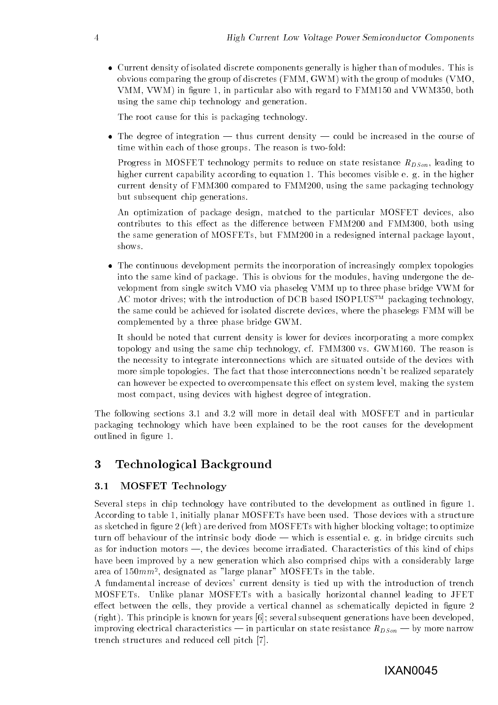Current density of isolated discrete components generally is higher than of modules- This is obvious comparing the group of discretes  $(FMM, GWM)$  with the group of modules  $(VMO,$  $VMM, VWM$  in figure 1, in particular also with regard to  $FMM150$  and  $VWM350$ , both using the same chip technology and generation.

The root cause for this is packaging technology.

the degree of integration of integration density and course of integration and the course of  $\alpha$ time within the reason give part is the state of the two t

Progress in MOSFET technology permits to reduce on state resistance  $R_{DSon}$ , leading to higher current capability according to equation - This becomes visible e- g- in the higher current density of  $\text{FMM}300$  compared to  $\text{FMM}200$ , using the same packaging technology but subsequent chip generations.

An optimization of package design, matched to the particular MOSFET devices, also contributes to this effect as the difference between FMM200 and FMM300, both using the same generation of MOSFETs, but FMM200 in a redesigned internal package layout. shows-

 The continuous development permits the incorporation of increasingly complex topologies into the same kind of package- This is obvious for the modules having undergone the de velopment from single switch VMO via phaseleg VMM up to three phase bridge VWM for AC motor drives; with the introduction of DCB based ISOPLUS<sup>TM</sup> packaging technology, the same could be achieved for isolated discrete devices where the phaselegs FMM will be complemented by a three phase bridge GWM-

It should be noted that current density is lower for devices incorporating a more complex  $\mathcal{L}_{\mathcal{L}}$  and the same chip technology cf-chipses is a chip control of  $\mathcal{L}_{\mathcal{L}}$ the necessity to integrate interconnections which are situated outside of the devices with more simple topologies- materials needs interconnections needs need separately separately. can however be expected to overcompensate this effect on system level, making the system most compact, using devices with highest degree of integration.

The following sections - and - will more in detail deal with MOSFET and in particular packaging technology which have been explained to be the root causes for the development outlined in figure 1.

## 3 Technological Background

### -MOSFET Technology

Several steps in chip technology have contributed to the development as outlined in figure 1. According to table initially planar MOSFETs have been used- Those devices with a structure as sketched in figure  $2$  (left) are derived from MOSFETs with higher blocking voltage; to optimize  $\mathbf{u}$ as for induction motors at  $\alpha$  inductions at the devices become in this case of this chips of the  $\alpha$ have been improved by a new generation which also comprised chips with a considerably large area of fo*untif*, designated as alarge planar – MOSFETs in the table.

A fundamental increase of devices
 current density is tied up with the introduction of trench MOSFETs- Unlike planar MOSFETs with a basically horizontal channel leading to JFET effect between the cells, they provide a vertical channel as schematically depicted in figure 2 right- This principle is known for years several subsequent generations have been developed improving electrical characteristics in particular on state resistance  $\mathbb{P}^{\mathsf{r}}$ trench structures and reduced cell pitch  $[7]$ .

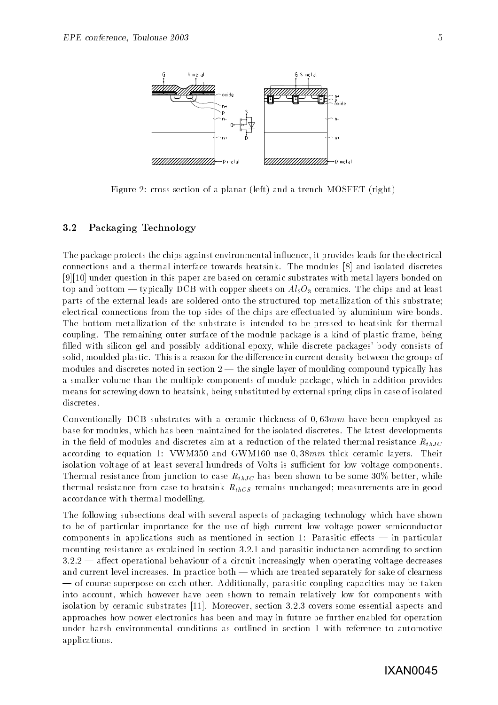

Figure 2: cross section of a planar (left) and a trench MOSFET (right)

### - - -Packaging Technology

The package protects the chips against environmental influence, it provides leads for the electrical connections and a thermal interface towards heatsink-interface towards the modules interface interface to  $[9][10]$  under question in this paper are based on ceramic substrates with metal layers bonded on to and both and both with copper sheets on  $\Delta \subset \mathcal{A}$ parts of the external leads are soldered onto the structured top metallization of this substrate electrical connections from the top sides of the chips are effectuated by aluminium wire bonds. The bottom metallization of the substrate is intended to be pressed to heatsink for thermal coupling- the remaining course surface is an emodule package is a mode of plastic frame being filled with silicon gel and possibly additional epoxy, while discrete packages' body consists of solid moulded plastic- This is a reason for the dierence in current density between the groups of modules and discretes noted in section  $\mathbf{r}$  and  $\mathbf{r}$  and  $\mathbf{r}$  and  $\mathbf{r}$  and  $\mathbf{r}$  and  $\mathbf{r}$  and  $\mathbf{r}$ a smaller volume than the multiple components of module package which in addition provides means for screwing down to heatsink, being substituted by external spring clips in case of isolated discretes.

Conventionally DCB substrates with a ceramic thickness of - mm have been employed as base for modules which has been maintained for the isolated for the isolated discrete and isolated particles. in the field of modules and discretes aim at a reduction of the related thermal resistance  $R_{thJC}$ according to each communication of the state of the state of the state of the state of the state of the state o isolation voltage of at least several hundreds of Volts is sufficient for low voltage components. Thermal resistance from junction to case  $R_{th,IC}$  has been shown to be some 30% better, while thermal resistance from case to heatsink  $R_{thCS}$  remains unchanged; measurements are in good accordance with thermal modelling-

The following subsections deal with several aspects of packaging technology which have shown to be of particular importance for the use of high current low voltage power semiconductor components in applications such as mentioned in section Parasitic eects in particular mounting resistance as explained in section - - and parasitic inductance according to section  $\blacksquare$  are constructing of a circuit increases of a circuit increases of a circuit increases of a circuit increases of a circuit increases of a circuit increases of a circuit increases of a circuit increases of a circuit and carrent reverses and the practice of the separately for sake of clearness are treated separately for sake of course superpose on each other-courses and the management of the taken of the coupling capacities may be taken into account, which however have been shown to remain relatively low for components with isolation by ceramic substrates - Moreover section - - covers some essential aspects and approaches how power electronics has been and may in future be further enabled for operation under harsh environmental conditions as outlined in section 1 with reference to automotive applications-

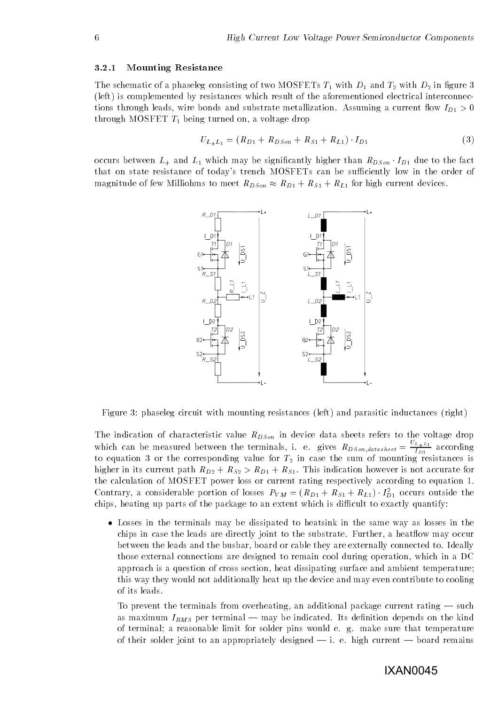## Mounting Resistance

The schematic of a phaseleg consisting of two MOSFETs  $T_1$  with  $D_1$  and  $T_2$  with  $D_2$  in figure 3 left is complemented by resistances which result of the aforementioned electrical interconnec  $\ldots$  through leads with a current metallization-current metallization-current owners are  $\ldots$  and  $\ldots$ through MOSFET  $T_1$  being turned on, a voltage drop

$$
U_{L_{+}L_{1}} = (R_{D1} + R_{DSon} + R_{S1} + R_{L1}) \cdot I_{D1}
$$
\n(3)

occurs between L which may be significantly important than RDSon -  $D\Gamma$  and to the fact  $\Gamma$ that on state resistance of today's trench MOSFETs can be sufficiently low in the order of magnitude of few Milliohms to meet  $R_{Dson} \approx R_{D1} + R_{S1} + R_{L1}$  for high current devices.



Figure 3: phaseleg circuit with mounting resistances (left) and parasitic inductances (right)

The indication of characteristic value  $R_{DSon}$  in device data sheets refers to the voltage drop which can be measured between the terminals, i. e. gives  $R_{DSon, database} = \frac{P_{D+D+1}}{I_{D+1}}$  according to equation 3 or the corresponding value for  $T_2$  in case the sum of mounting resistances is higher in its current paths  $\mathbb{Z}^D$  rs-202  $\mathbb{Z}$  rs-DI rs-201  $\mathbb{Z}$  accurate for a construction for a the calculation of MOSFET power loss or current rating respectively according to equation 1. Contrary, a considerable portion of losses  $P_{VM} = (R_{D1} + R_{S1} + R_{L1}) \cdot I_{D1}^{-}$  occurs outside the chips, heating up parts of the package to an extent which is difficult to exactly quantify:

 Losses in the terminals may be dissipated to heatsink in the same way as losses in the chips in case that is not directly joint to the substrate in the substrate and the substrate of the substrate  $\mathbf{I}$ those external connections are designed to remain cool during operation, which in a DC approach is a question of cross section, heat dissipating surface and ambient temperature; this way they would not additionally heat up the device and may even contribute to cooling of its leads.

To prevent the terminals from overheating and package current rating and  $\mathcal{L}(\mathbf{A})$ as maximum in the indicated on the following and the following on the continuation depends on the the complete of terminal a reasonable limit for solder pins would e-define pins would e-define  $\mathcal{L}$ of their soldiers in the specific strengthen to an appropriately designed to a strength current and continuous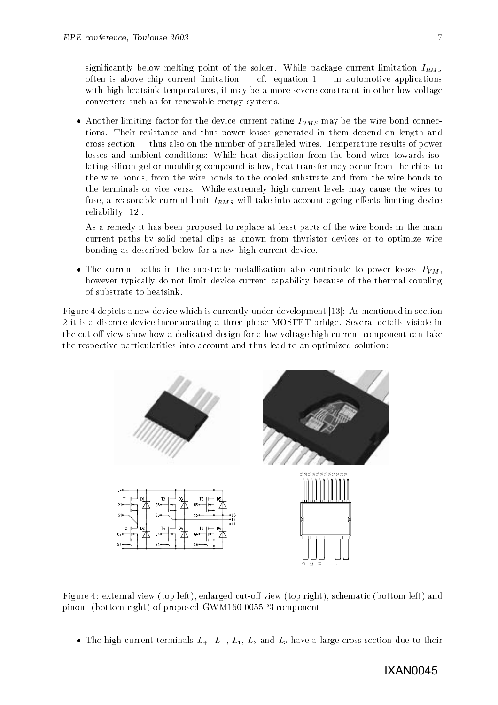signically below melting point of the solder-current package current medicines iRMS. often is above chip current limitation and complication application application application applications of the with high heatsink temperatures, it may be a more severe constraint in other low voltage converters such as for renewable energy systems-

• Another limiting factor for the device current rating  $I_{RMS}$  may be the wire bond connections- Their resistance and thus power losses generated in them depend on length and cross section thus also on the number of paralleled wires- Temperature results of power losses and ambient conditions: While heat dissipation from the bond wires towards isolating silicon gel or moulding compound is low heat transfer may occur from the chips to the wire bonds from the wire bonds to the cooled substrate and from the wire bonds to  $\mathcal{U}$  the terminals or vice versa-independent levels may cause the wires the wires the wires the wires the wires the wires the wires the wires the wires the wires the wires the wires the wires the wires the wires the w fuse, a reasonable current limit  $I_{RMS}$  will take into account ageing effects limiting device  $reliability$  [12].

As a remedy it has been proposed to replace at least parts of the wire bonds in the main current paths by solid metal clips as known from thyristor devices or to optimize wire bonding as described below for a new high current device-

• The current paths in the substrate metallization also contribute to power losses  $P_{VM}$ , however typically do not limit device current capability because of the thermal coupling of substrate to heatsink-

Figure 4 depicts a new device which is currently under development [13]: As mentioned in section it is a discrete device incorporating a three phase MOSFET bridge- Several details visible in the cut off view show how a dedicated design for a low voltage high current component can take the respective particularities into account and thus lead to an optimized solution



Figure 4: external view (top left), enlarged cut-off view (top right), schematic (bottom left) and pinout (bottom right) of proposed GWM160-0055P3 component

The model current terminals L L and L and L and L and L and L and L and L and L and L and L and L and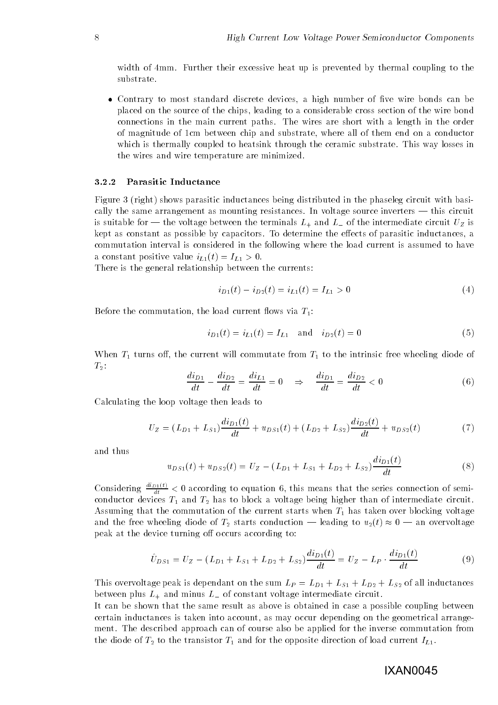with a further the matches in the model of meat up is prevented by the strong the thermal coupling the theory substrate.

• Contrary to most standard discrete devices, a high number of five wire bonds can be placed on the source of the chips leading to a considerable cross section of the wire bond connections in the main current paths- with wires are short with a length in the short with  $\sim$ of magnitude of 1cm between chip and substrate, where all of them end on a conductor which is the through through the ceramic substrate-through the ceramic substrate-through the ceramic substratethe wires and wire temperature are minimized-

### -----Parasitic Inductance

Figure 3 (right) shows parasitic inductances being distributed in the phaseleg circuit with basically the same arrangement as mounting resistances- In voltage source inverters this circuit is suitable for the voltage between the terminals L and L- and L- and L- and L- and L-  $\ldots$  .  $\mathcal{L}$  is kept as constant as possible by capacitors- To determine the eects of parasitic inductances a commutation interval is considered in the following where the load current is assumed to have a constant positive value  $i_{L1}(t) = I_{L1} > 0$ .

There is the general relationship between the currents

$$
i_{D1}(t) - i_{D2}(t) = i_{L1}(t) = I_{L1} > 0
$$
\n<sup>(4)</sup>

Before the commutation, the load current flows via  $T_1$ :

$$
i_{D1}(t) = i_{L1}(t) = I_{L1} \text{ and } i_{D2}(t) = 0 \tag{5}
$$

When  $T_1$  turns off, the current will commutate from  $T_1$  to the intrinsic free wheeling diode of  $T_2$ :

$$
\frac{di_{D1}}{dt} - \frac{di_{D2}}{dt} = \frac{di_{L1}}{dt} = 0 \quad \Rightarrow \quad \frac{di_{D1}}{dt} = \frac{di_{D2}}{dt} < 0 \tag{6}
$$

Calculating the loop voltage then leads to

$$
U_Z = (L_{D1} + L_{S1})\frac{di_{D1}(t)}{dt} + u_{DS1}(t) + (L_{D2} + L_{S2})\frac{di_{D2}(t)}{dt} + u_{DS2}(t)
$$
 (7)

and thus

$$
u_{DS1}(t) + u_{DS2}(t) = U_Z - (L_{D1} + L_{S1} + L_{D2} + L_{S2})\frac{di_{D1}(t)}{dt}
$$
\n
$$
(8)
$$

Considering  $\frac{dE_{\text{C}}}{dt} < 0$  according to equation 6, this means that the series connection of semiconductor devices  $T_1$  and  $T_2$  has to block a voltage being higher than of intermediate circuit. Assuming that the commutation of the current starts when  $T_1$  has taken over blocking voltage and the free wheeling distribution  $\mathcal{L}_A$  starts conduction of  $\mathcal{L}_A$  and  $\mathcal{L}_A$  . The conduction over  $\mathcal{L}_A$ peak at the device turning off occurs according to:

$$
\hat{U}_{DS1} = U_Z - (L_{D1} + L_{S1} + L_{D2} + L_{S2}) \frac{di_{D1}(t)}{dt} = U_Z - L_P \cdot \frac{di_{D1}(t)}{dt}
$$
\n(9)

This overvoltage peak is dependant on the sum  $L_P = L_{D1} + L_{S1} + L_{D2} + L_{S2}$  of all inductances  $\sim$  of constant voltage intermediate intermediate constant  $\sim$  constant voltage intermediate constants  $\sim$ 

It can be shown that the same result as above is obtained in case a possible coupling between certain inductances is taken into account, as may occur depending on the geometrical arrangement- The described approach can of course also be applied for the inverse commutation from the diode of  $T_2$  to the transistor  $T_1$  and for the opposite direction of load current  $I_{L1}$ .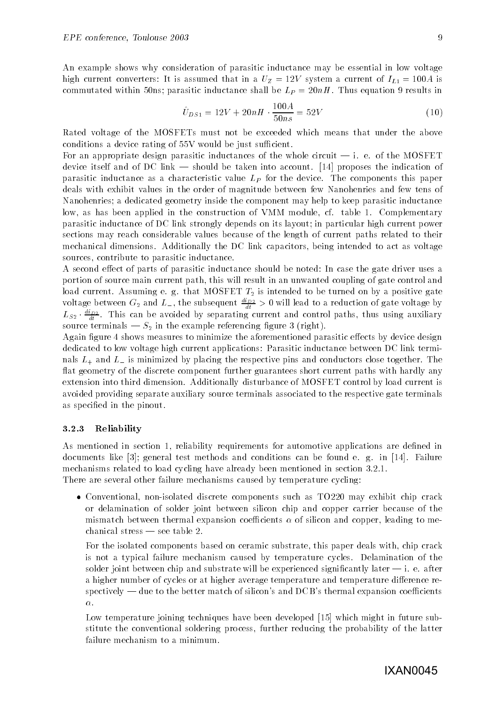An example shows why consideration of parasitic inductance may be essential in low voltage high current converters: It is assumed that in a  $U_Z = 12V$  system a current of  $I_{L1} = 100A$  is  $\mathbf{r}$  is a results inductance shall be LP  $\mathbf{r}$  inductance shall be LP  $\mathbf{r}$ 

$$
\hat{U}_{DS1} = 12V + 20nH \cdot \frac{100A}{50ns} = 52V \tag{10}
$$

Rated voltage of the MOSFETs must not be exceeded which means that under the above conditions a device rating of  $55V$  would be just sufficient.

For an appropriate design parasitic inductances of the whole circuit i- e- of the MOSFET device itself and of DC link should be taken into account- proposes the indication of parasitic inductance as a characteristic value LP for the device- The components this paper deals with exhibit values in the order of magnitude between few Nanohenries and few tens of Nanohenries; a dedicated geometry inside the component may help to keep parasitic inductance low as has been applied in the construction of VMM module cf- table - Complementary parasitic inductance of DC link strongly depends on its layout; in particular high current power sections may reach considerable values because of the length of current paths related to their mechanical dimensions- Additionally the DC link capacitors being intended to act as voltage sources, contribute to parasitic inductance.

A second effect of parts of parasitic inductance should be noted: In case the gate driver uses a portion of source main current path, this will result in an unwanted coupling of gate control and rent-that the most division of the tended to be turned to be turned on by a positive gate. voltage between  $G_2$  and  $L_-,$  the subsequent  $\frac{2L}{dt} > 0$  will lead to a reduction of gate voltage by  $L_{S2}$   $\frac{d}{dt}$ . I his can be avoided by separating current and control paths, thus using auxiliary s in the terminals and  $\mathcal{S}_2$  in the example referencing and in the formal for

Again figure 4 shows measures to minimize the aforementioned parasitic effects by device design dedicated to low voltage high current applications: Parasitic inductance between DC link terminals L-minimized by placing the respective pins and conductors close togetherflat geometry of the discrete component further guarantees short current paths with hardly any extension into third dimension- Additionally disturbance of MOSFET control by load current is avoided providing separate auxiliary source terminals associated to the respective gate terminals as specified in the pinout.

#### ----Reliability

As mentioned in section 1, reliability requirements for automotive applications are defined in al termints and it is general test methods and conditions can be found to give the found emechanisms related to load cycling have already been mentioned in section - --There are several other failure mechanisms caused by temperature cycling

• Conventional, non-isolated discrete components such as TO220 may exhibit chip crack or delamination of solder joint between silicon chip and copper carrier because of the mismatch between thermal expansion coefficients  $\alpha$  of silicon and copper, leading to me-

For the isolated components based on ceramic substrate, this paper deals with, chip crack is not a typical failure mechanism caused by temperature cycles- Delamination of the solder joint between chip and substrate will be experienced signification, and it at after the significant a higher number of cycles or at higher average temperature and temperature difference respectively due to the better match of silicon
s and DCB
s thermal expansion coecients  $\alpha$ .

Low temperature joining techniques have been developed [15] which might in future substitute the conventional soldering process further reducing the probability of the latter failure mechanism to a minimum.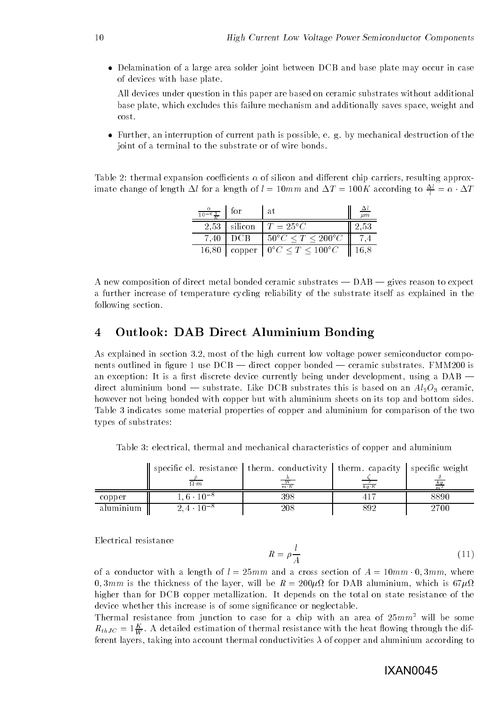Delamination of a large area solder joint between DCB and base plate may occur in case of devices with base plate-

All devices under question in this paper are based on ceramic substrates without additional base plate, which excludes this failure mechanism and additionally saves space, weight and cost-

 Further an interruption of current path is possible e- g- by mechanical destruction of the joint of a terminal to the substrate or of wire bonds.

Table 2: thermal expansion coefficients  $\alpha$  of silicon and different chip carriers, resulting approximate change of length  $\Delta t$  for a length of  $t = 10mm$  and  $\Delta T = 100K$  according to  $\frac{2}{t} = \alpha \cdot \Delta T$ 

| $\frac{\alpha}{10^{-6}\frac{1}{K}}$ | for            | l at                                                   | $\mu$ $m$        |
|-------------------------------------|----------------|--------------------------------------------------------|------------------|
|                                     | $2.53$ silicon | $T = 25^{\circ}C$                                      | 2.53             |
| 7.40                                | l DCB          | $50^{\circ}C \le T \le 200^{\circ}C$                   |                  |
|                                     |                | 16,80   copper   $0^{\circ}C \leq T \leq 100^{\circ}C$ | $\parallel$ 16,8 |

A new composition of direct metal bonded ceramic substrates DAB gives reason to expect a further increase of temperature cycling reliability of the substrate itself as explained in the following section.

# Outlook- DAB Direct Aluminium Bonding

As explained in section - most of the high current low voltage power semiconductor compo nents outlined in gure  $\mathbb{R}$  . The ceramic substrates of  $\mathbb{R}$  is the ceramic substratesan exception: It is a first discrete device currently being under development, using a  $DAB$ direct aluminium bond the substrate direct aluminium bond on an Alo ceramic contrate the substrates of the ceramic however not being bonded with copper but with aluminium sheets on its top and bottom sides-Table 3 indicates some material properties of copper and aluminium for comparison of the two types of substrates

Table 3: electrical, thermal and mechanical characteristics of copper and aluminium

|           | specific el. resistance   therm. conductivity   therm. capacity   specific weight |                      |      |      |
|-----------|-----------------------------------------------------------------------------------|----------------------|------|------|
|           | $\Omega \cdot m$                                                                  | $\frac{W}{m\cdot K}$ | ka K |      |
| copper    | $1.6 \cdot 10^{-8}$                                                               | 398                  |      | 8890 |
| aluminium | $2.4 \cdot 10^{-8}$                                                               | $208\,$              | 392  | 2700 |

Electrical resistance

$$
R = \rho \frac{l}{A} \tag{11}
$$

of a conductor with a length of l mm and a cross section of A mm - - mm where - mm is the thickness of the layer will be R  for DAB aluminium which is higher than for DCB copper metallization- It depends on the total on state resistance of the device whether this increase is of some significance or neglectable.

Thermal resistance from junction to case for a chip with an area of  $25mm^2$  will be some  $\kappa_{thJC} = 1\frac{W}{W}$ . A detailed estimation of thermal resistance with the heat howing through the different layers, taking into account thermal conductivities  $\lambda$  of copper and aluminium according to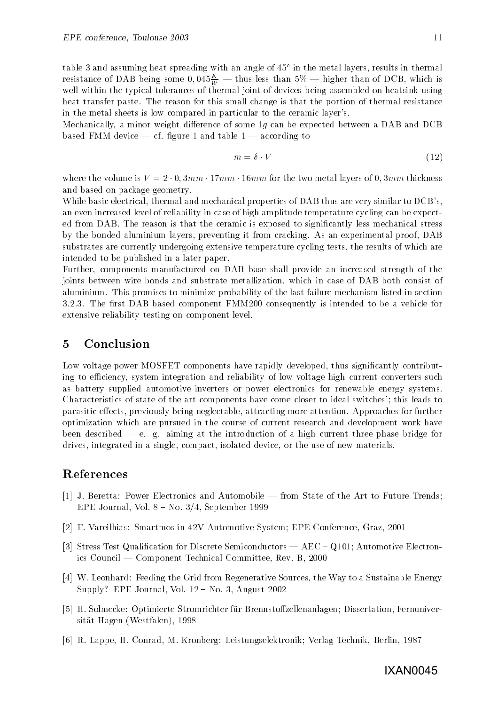table and assuming heat spreading with an angle of in the metal layers results in thermal resistance of DAB being some  $0,045\frac{\varpi}{W}$  — thus less than  $5\%$  — ingher than of DCB, which is well within the typical tolerances of thermal joint of devices being assembled on heatsink using heat transfer paste- The reason for this small change is that the portion of thermal resistance in the metal sheets is low compared in particular to the ceramic layer's.

Mechanically, a minor weight difference of some  $1g$  can be expected between a DAB and DCB  $\alpha$  and  $\alpha$  according to the table  $\alpha$  and the table  $\alpha$  and the table  $\alpha$ 

$$
m = \delta \cdot V \tag{12}
$$

where the variable  $\sim$  ,  $\sim$  ,  $\sim$  ,  $\sim$  the two metal layers of two metal layers of  $\sim$  . The two metal layers of  $\sim$ and based on package geometry-

While basic electrical, thermal and mechanical properties of DAB thus are very similar to DCB's, an even increased level of reliability in case of high amplitude temperature cycling can be expect ed from DAB- The reason is that the ceramic is exposed to signicantly less mechanical stress by the bonded aluminium layers preventing it from cracking- As an experimental proof DAB substrates are currently undergoing extensive temperature cycling tests the results of which are intended to be published in a later paper-

Further, components manufactured on DAB base shall provide an increased strength of the joints between wire bonds and substrate metallization, which in case of DAB both consist of aluminium-alumi probability of this probability of the last failure mechanism listed in section in section - -- The rst DAB based component FMM  consequently is intended to be a vehicle for extensive reliability testing on component level-

## $\overline{5}$ Conclusion

Low voltage power MOSFET components have rapidly developed, thus significantly contributing to efficiency, system integration and reliability of low voltage high current converters such as battery supplied automotive inverters or power electronics for renewable energy systems. Characteristics of state of the art components have come closer to ideal switches'; this leads to parasitic eects previously being neglectable attracting more attention- Approaches for further optimization which are pursued in the course of current research and development work have  $\mathbf{a}$  and introduction of a high current three phase bridge for a high current three phase bridge for a high current three phase bridge for a high current three phase bridge for a high current three phase bridge for a drives, integrated in a single, compact, isolated device, or the use of new materials.

# References

- J- Beretta Power Electronics and Automobile from State of the Art to Future Trends ere er september 1996 i 1996 ble 1996 ble 1996 ble 1996 ble 1996 ble 1996 ble 1997 ble 1997 ble 1997 ble 1997
- F- Vareilhias Smartmos in V Automotive System EPE Conference Graz
- Stress Test Qualication for Discrete Semiconductors AEC ! Q Automotive Electron ics Council Component Technical Committee Rev- B
- $W$  . Let  $W$  and  $W$  to a Sustainable Sources the Way to a Sustainable Energy to a Sustainable Energy to a Sustainable Energy to a Sustainable Energy to a Sustainable Energy to a Sustainable Energy to a Sustainable Energ Supply# EPE Journal Vol- ! No- August
- H- Solmecke Optimierte Stromrichter f\$ur Brennstozellenanlagen Dissertation Fernuniver sität Hagen (Westfalen), 1998
- r de Artik Peters Conrad M-Lappe H-Lappe H-Lappe H-Lappe H-Lappe H-Lappe H-Lappe H-Lappe H-Lappe H-Lappe H-La